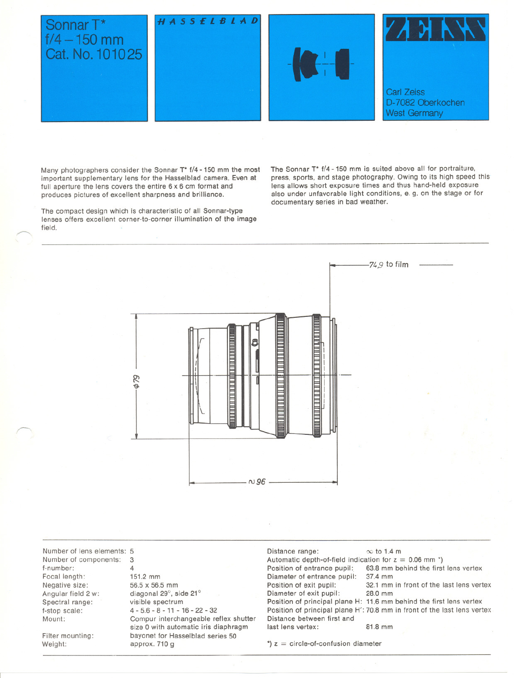

Many photographers consider the Sonnar T\* f/4 -150 mm the most important supplementary lens for the Hasselblad camera. Even at full aperture the lens covers the entire 6 x 6 cm format and produces pictures of excellent sharpness and brilliance.

The compact design which is characteristic of all Sonnar-type lenses offers excellent corner-to-corner illumination of the image field.

The Sonnar T\* f/4 - 150 mm is suited above all for portraiture. press. sports. and stage photography. Owing to its high speed this lens allows short exposure times and thus hand-held exposure also under unfavorable light conditions. e. g. on the stage or for documentary series in bad weather.



Number of lens elements: 5 Number of components: f-number: Focal length: Negative size: Angular field 2 w: Spectral range: f-stop scala: Mount: 3 4

Filter mounting:<br>Weight:

r-....

151.2 mm 56.5 x 56.5 mm diagonal 29°, side 21° visible spectrum 4 - 5.6- 8 - 11- 16- 22- 32 Compur interchangeable reflex shutter size 0 with automatic iris diaphragm bayonet for Hasselblad series 50 approx. 710 g

Distance range:  $\infty$  to 1.4 m Automatic depth-of-field indication for  $z = 0.06$  mm \*)<br>Position of entrance pupil: 63.8 mm behind the first Diameter of entrance pupil:<br>Position of exit pupil: Diameter of exit pupil: Distance between first and last lens vertex: 81.8 mm

63.8 mm behind the first lens vertex 37.4 mm

32.1 mm in front of the last lens vertex<br>28.0 mm

Position of principal plane H: 11.6 mm behind the first lens vertex Position of principal plane H': 70.8 mm in front of the last lens vertex

 $') z =$  circle-of-confusion diameter